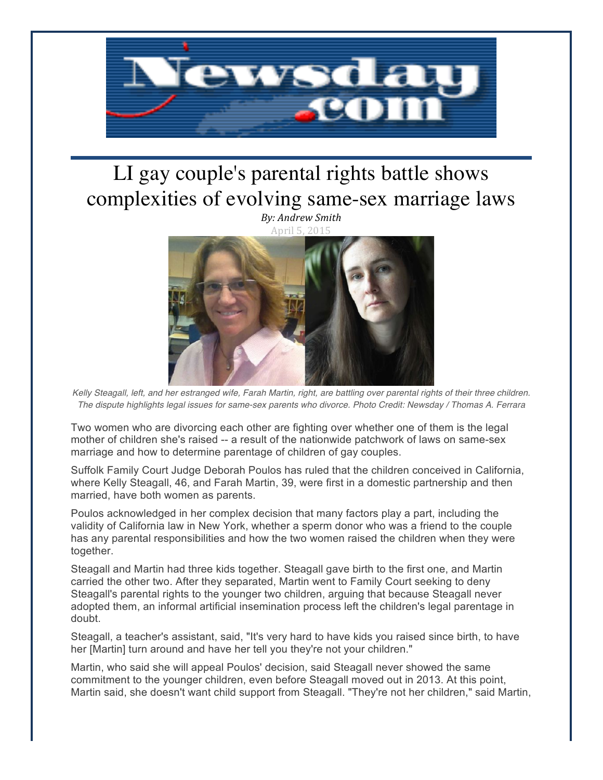

## LI gay couple's parental rights battle shows complexities of evolving same-sex marriage laws



*Kelly Steagall, left, and her estranged wife, Farah Martin, right, are battling over parental rights of their three children. The dispute highlights legal issues for same-sex parents who divorce. Photo Credit: Newsday / Thomas A. Ferrara*

Two women who are divorcing each other are fighting over whether one of them is the legal mother of children she's raised -- a result of the nationwide patchwork of laws on same-sex marriage and how to determine parentage of children of gay couples.

Suffolk Family Court Judge Deborah Poulos has ruled that the children conceived in California, where Kelly Steagall, 46, and Farah Martin, 39, were first in a domestic partnership and then married, have both women as parents.

Poulos acknowledged in her complex decision that many factors play a part, including the validity of California law in New York, whether a sperm donor who was a friend to the couple has any parental responsibilities and how the two women raised the children when they were together.

Steagall and Martin had three kids together. Steagall gave birth to the first one, and Martin carried the other two. After they separated, Martin went to Family Court seeking to deny Steagall's parental rights to the younger two children, arguing that because Steagall never adopted them, an informal artificial insemination process left the children's legal parentage in doubt.

Steagall, a teacher's assistant, said, "It's very hard to have kids you raised since birth, to have her [Martin] turn around and have her tell you they're not your children."

Martin, who said she will appeal Poulos' decision, said Steagall never showed the same commitment to the younger children, even before Steagall moved out in 2013. At this point, Martin said, she doesn't want child support from Steagall. "They're not her children," said Martin,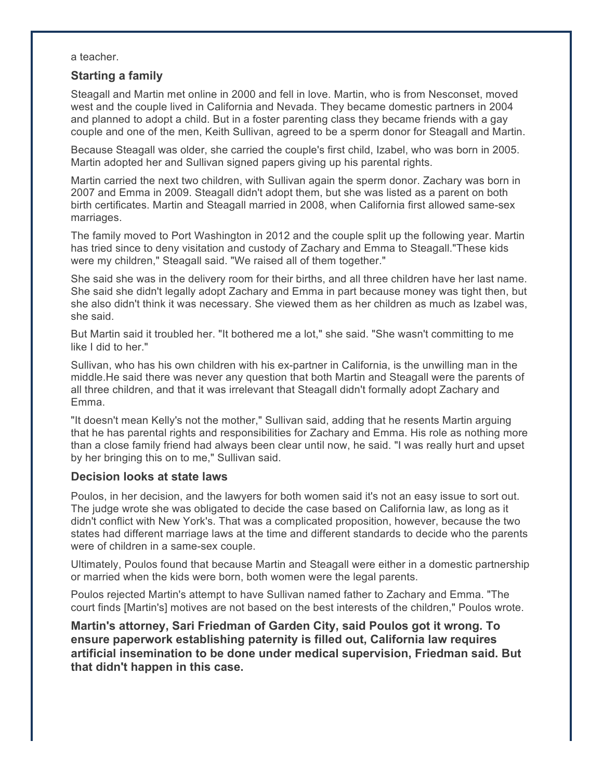a teacher.

## **Starting a family**

Steagall and Martin met online in 2000 and fell in love. Martin, who is from Nesconset, moved west and the couple lived in California and Nevada. They became domestic partners in 2004 and planned to adopt a child. But in a foster parenting class they became friends with a gay couple and one of the men, Keith Sullivan, agreed to be a sperm donor for Steagall and Martin.

Because Steagall was older, she carried the couple's first child, Izabel, who was born in 2005. Martin adopted her and Sullivan signed papers giving up his parental rights.

Martin carried the next two children, with Sullivan again the sperm donor. Zachary was born in 2007 and Emma in 2009. Steagall didn't adopt them, but she was listed as a parent on both birth certificates. Martin and Steagall married in 2008, when California first allowed same-sex marriages.

The family moved to Port Washington in 2012 and the couple split up the following year. Martin has tried since to deny visitation and custody of Zachary and Emma to Steagall."These kids were my children," Steagall said. "We raised all of them together."

She said she was in the delivery room for their births, and all three children have her last name. She said she didn't legally adopt Zachary and Emma in part because money was tight then, but she also didn't think it was necessary. She viewed them as her children as much as Izabel was, she said.

But Martin said it troubled her. "It bothered me a lot," she said. "She wasn't committing to me like I did to her."

Sullivan, who has his own children with his ex-partner in California, is the unwilling man in the middle.He said there was never any question that both Martin and Steagall were the parents of all three children, and that it was irrelevant that Steagall didn't formally adopt Zachary and Emma.

"It doesn't mean Kelly's not the mother," Sullivan said, adding that he resents Martin arguing that he has parental rights and responsibilities for Zachary and Emma. His role as nothing more than a close family friend had always been clear until now, he said. "I was really hurt and upset by her bringing this on to me," Sullivan said.

## **Decision looks at state laws**

Poulos, in her decision, and the lawyers for both women said it's not an easy issue to sort out. The judge wrote she was obligated to decide the case based on California law, as long as it didn't conflict with New York's. That was a complicated proposition, however, because the two states had different marriage laws at the time and different standards to decide who the parents were of children in a same-sex couple.

Ultimately, Poulos found that because Martin and Steagall were either in a domestic partnership or married when the kids were born, both women were the legal parents.

Poulos rejected Martin's attempt to have Sullivan named father to Zachary and Emma. "The court finds [Martin's] motives are not based on the best interests of the children," Poulos wrote.

**Martin's attorney, Sari Friedman of Garden City, said Poulos got it wrong. To ensure paperwork establishing paternity is filled out, California law requires artificial insemination to be done under medical supervision, Friedman said. But that didn't happen in this case.**